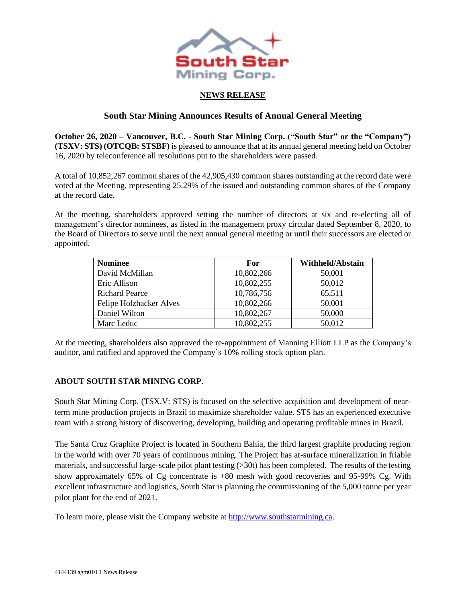

## **NEWS RELEASE**

## **South Star Mining Announces Results of Annual General Meeting**

**October 26, 2020 – Vancouver, B.C. - South Star Mining Corp. ("South Star" or the "Company") (TSXV: STS) (OTCQB: STSBF)** is pleased to announce that at its annual general meeting held on October 16, 2020 by teleconference all resolutions put to the shareholders were passed.

A total of 10,852,267 common shares of the 42,905,430 common shares outstanding at the record date were voted at the Meeting, representing 25.29% of the issued and outstanding common shares of the Company at the record date.

At the meeting, shareholders approved setting the number of directors at six and re-electing all of management's director nominees, as listed in the management proxy circular dated September 8, 2020, to the Board of Directors to serve until the next annual general meeting or until their successors are elected or appointed.

| <b>Nominee</b>                 | For        | <b>Withheld/Abstain</b> |
|--------------------------------|------------|-------------------------|
| David McMillan                 | 10,802,266 | 50,001                  |
| Eric Allison                   | 10,802,255 | 50,012                  |
| <b>Richard Pearce</b>          | 10,786,756 | 65,511                  |
| <b>Felipe Holzhacker Alves</b> | 10,802,266 | 50,001                  |
| Daniel Wilton                  | 10,802,267 | 50,000                  |
| Marc Leduc                     | 10,802,255 | 50,012                  |

At the meeting, shareholders also approved the re-appointment of Manning Elliott LLP as the Company's auditor, and ratified and approved the Company's 10% rolling stock option plan.

## **ABOUT SOUTH STAR MINING CORP.**

South Star Mining Corp. (TSX.V: STS) is focused on the selective acquisition and development of nearterm mine production projects in Brazil to maximize shareholder value. STS has an experienced executive team with a strong history of discovering, developing, building and operating profitable mines in Brazil.

The Santa Cruz Graphite Project is located in Southern Bahia, the third largest graphite producing region in the world with over 70 years of continuous mining. The Project has at-surface mineralization in friable materials, and successful large-scale pilot plant testing (>30t) has been completed. The results of the testing show approximately 65% of Cg concentrate is +80 mesh with good recoveries and 95-99% Cg. With excellent infrastructure and logistics, South Star is planning the commissioning of the 5,000 tonne per year pilot plant for the end of 2021.

To learn more, please visit the Company website at [http://www.southstarmining.ca.](http://www.southstarmining.ca/)